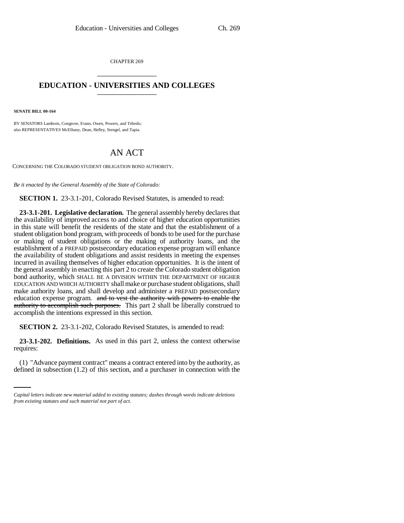CHAPTER 269 \_\_\_\_\_\_\_\_\_\_\_\_\_\_\_

## **EDUCATION - UNIVERSITIES AND COLLEGES** \_\_\_\_\_\_\_\_\_\_\_\_\_\_\_

**SENATE BILL 00-164** 

BY SENATORS Lamborn, Congrove, Evans, Owen, Powers, and Tebedo; also REPRESENTATIVES McElhany, Dean, Hefley, Stengel, and Tapia.

# AN ACT

CONCERNING THE COLORADO STUDENT OBLIGATION BOND AUTHORITY.

*Be it enacted by the General Assembly of the State of Colorado:*

**SECTION 1.** 23-3.1-201, Colorado Revised Statutes, is amended to read:

**23-3.1-201. Legislative declaration.** The general assembly hereby declares that the availability of improved access to and choice of higher education opportunities in this state will benefit the residents of the state and that the establishment of a student obligation bond program, with proceeds of bonds to be used for the purchase or making of student obligations or the making of authority loans, and the establishment of a PREPAID postsecondary education expense program will enhance the availability of student obligations and assist residents in meeting the expenses incurred in availing themselves of higher education opportunities. It is the intent of the general assembly in enacting this part 2 to create the Colorado student obligation bond authority, which SHALL BE A DIVISION WITHIN THE DEPARTMENT OF HIGHER EDUCATION AND WHICH AUTHORITY shall make or purchase student obligations, shall make authority loans, and shall develop and administer a PREPAID postsecondary education expense program. and to vest the authority with powers to enable the authority to accomplish such purposes. This part 2 shall be liberally construed to accomplish the intentions expressed in this section.

**SECTION 2.** 23-3.1-202, Colorado Revised Statutes, is amended to read:

requires: **23-3.1-202. Definitions.** As used in this part 2, unless the context otherwise

(1) "Advance payment contract" means a contract entered into by the authority, as defined in subsection (1.2) of this section, and a purchaser in connection with the

*Capital letters indicate new material added to existing statutes; dashes through words indicate deletions from existing statutes and such material not part of act.*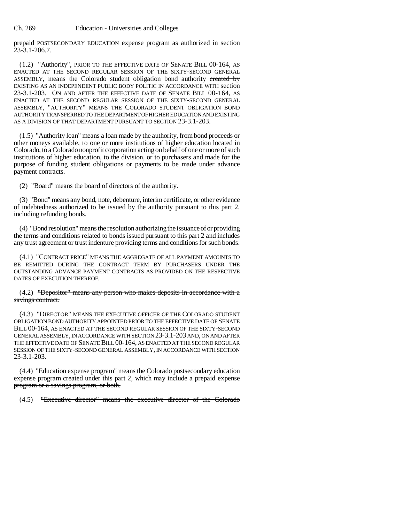prepaid POSTSECONDARY EDUCATION expense program as authorized in section  $23 - 3.1 - 206.7$ .

(1.2) "Authority", PRIOR TO THE EFFECTIVE DATE OF SENATE BILL 00-164, AS ENACTED AT THE SECOND REGULAR SESSION OF THE SIXTY-SECOND GENERAL ASSEMBLY, means the Colorado student obligation bond authority ereated by EXISTING AS AN INDEPENDENT PUBLIC BODY POLITIC IN ACCORDANCE WITH section 23-3.1-203. ON AND AFTER THE EFFECTIVE DATE OF SENATE BILL 00-164, AS ENACTED AT THE SECOND REGULAR SESSION OF THE SIXTY-SECOND GENERAL ASSEMBLY, "AUTHORITY" MEANS THE COLORADO STUDENT OBLIGATION BOND AUTHORITY TRANSFERRED TO THE DEPARTMENT OF HIGHER EDUCATION AND EXISTING AS A DIVISION OF THAT DEPARTMENT PURSUANT TO SECTION 23-3.1-203.

(1.5) "Authority loan" means a loan made by the authority, from bond proceeds or other moneys available, to one or more institutions of higher education located in Colorado, to a Colorado nonprofit corporation acting on behalf of one or more of such institutions of higher education, to the division, or to purchasers and made for the purpose of funding student obligations or payments to be made under advance payment contracts.

(2) "Board" means the board of directors of the authority.

(3) "Bond" means any bond, note, debenture, interim certificate, or other evidence of indebtedness authorized to be issued by the authority pursuant to this part 2, including refunding bonds.

(4) "Bond resolution" means the resolution authorizing the issuance of or providing the terms and conditions related to bonds issued pursuant to this part 2 and includes any trust agreement or trust indenture providing terms and conditions for such bonds.

(4.1) "CONTRACT PRICE" MEANS THE AGGREGATE OF ALL PAYMENT AMOUNTS TO BE REMITTED DURING THE CONTRACT TERM BY PURCHASERS UNDER THE OUTSTANDING ADVANCE PAYMENT CONTRACTS AS PROVIDED ON THE RESPECTIVE DATES OF EXECUTION THEREOF.

(4.2) "Depositor" means any person who makes deposits in accordance with a savings contract.

(4.3) "DIRECTOR" MEANS THE EXECUTIVE OFFICER OF THE COLORADO STUDENT OBLIGATION BOND AUTHORITY APPOINTED PRIOR TO THE EFFECTIVE DATE OF SENATE BILL 00-164, AS ENACTED AT THE SECOND REGULAR SESSION OF THE SIXTY-SECOND GENERAL ASSEMBLY, IN ACCORDANCE WITH SECTION 23-3.1-203 AND, ON AND AFTER THE EFFECTIVE DATE OF SENATE BILL 00-164, AS ENACTED AT THE SECOND REGULAR SESSION OF THE SIXTY-SECOND GENERAL ASSEMBLY, IN ACCORDANCE WITH SECTION 23-3.1-203.

(4.4) "Education expense program" means the Colorado postsecondary education expense program created under this part 2, which may include a prepaid expense program or a savings program, or both.

(4.5) "Executive director" means the executive director of the Colorado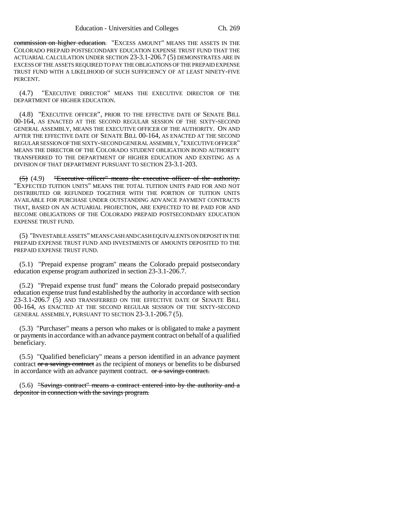commission on higher education. "EXCESS AMOUNT" MEANS THE ASSETS IN THE COLORADO PREPAID POSTSECONDARY EDUCATION EXPENSE TRUST FUND THAT THE ACTUARIAL CALCULATION UNDER SECTION 23-3.1-206.7 (5) DEMONSTRATES ARE IN EXCESS OF THE ASSETS REQUIRED TO PAY THE OBLIGATIONS OF THE PREPAID EXPENSE TRUST FUND WITH A LIKELIHOOD OF SUCH SUFFICIENCY OF AT LEAST NINETY-FIVE PERCENT.

(4.7) "EXECUTIVE DIRECTOR" MEANS THE EXECUTIVE DIRECTOR OF THE DEPARTMENT OF HIGHER EDUCATION.

(4.8) "EXECUTIVE OFFICER", PRIOR TO THE EFFECTIVE DATE OF SENATE BILL 00-164, AS ENACTED AT THE SECOND REGULAR SESSION OF THE SIXTY-SECOND GENERAL ASSEMBLY, MEANS THE EXECUTIVE OFFICER OF THE AUTHORITY. ON AND AFTER THE EFFECTIVE DATE OF SENATE BILL 00-164, AS ENACTED AT THE SECOND REGULAR SESSION OF THE SIXTY-SECOND GENERAL ASSEMBLY, "EXECUTIVE OFFICER" MEANS THE DIRECTOR OF THE COLORADO STUDENT OBLIGATION BOND AUTHORITY TRANSFERRED TO THE DEPARTMENT OF HIGHER EDUCATION AND EXISTING AS A DIVISION OF THAT DEPARTMENT PURSUANT TO SECTION 23-3.1-203.

(5) (4.9) "Executive officer" means the executive officer of the authority. "EXPECTED TUITION UNITS" MEANS THE TOTAL TUITION UNITS PAID FOR AND NOT DISTRIBUTED OR REFUNDED TOGETHER WITH THE PORTION OF TUITION UNITS AVAILABLE FOR PURCHASE UNDER OUTSTANDING ADVANCE PAYMENT CONTRACTS THAT, BASED ON AN ACTUARIAL PROJECTION, ARE EXPECTED TO BE PAID FOR AND BECOME OBLIGATIONS OF THE COLORADO PREPAID POSTSECONDARY EDUCATION EXPENSE TRUST FUND.

(5) "INVESTABLE ASSETS" MEANS CASH AND CASH EQUIVALENTS ON DEPOSIT IN THE PREPAID EXPENSE TRUST FUND AND INVESTMENTS OF AMOUNTS DEPOSITED TO THE PREPAID EXPENSE TRUST FUND.

(5.1) "Prepaid expense program" means the Colorado prepaid postsecondary education expense program authorized in section 23-3.1-206.7.

(5.2) "Prepaid expense trust fund" means the Colorado prepaid postsecondary education expense trust fund established by the authority in accordance with section 23-3.1-206.7 (5) AND TRANSFERRED ON THE EFFECTIVE DATE OF SENATE BILL 00-164, AS ENACTED AT THE SECOND REGULAR SESSION OF THE SIXTY-SECOND GENERAL ASSEMBLY, PURSUANT TO SECTION 23-3.1-206.7 (5).

(5.3) "Purchaser" means a person who makes or is obligated to make a payment or payments in accordance with an advance payment contract on behalf of a qualified beneficiary.

(5.5) "Qualified beneficiary" means a person identified in an advance payment contract or a saving contract as the recipient of moneys or benefits to be disbursed in accordance with an advance payment contract. or a savings contract.

 $(5.6)$  "Savings contract" means a contract entered into by the authority and a depositor in connection with the savings program.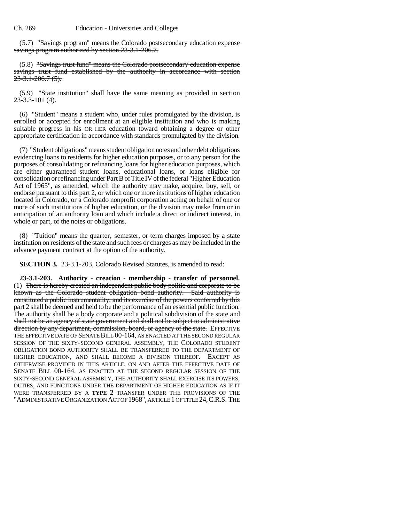(5.7) "Savings program" means the Colorado postsecondary education expense savings program authorized by section 23-3.1-206.7.

(5.8) "Savings trust fund" means the Colorado postsecondary education expense savings trust fund established by the authority in accordance with section  $23 - 3.1 - 206.7(5)$ .

(5.9) "State institution" shall have the same meaning as provided in section 23-3.3-101 (4).

(6) "Student" means a student who, under rules promulgated by the division, is enrolled or accepted for enrollment at an eligible institution and who is making suitable progress in his OR HER education toward obtaining a degree or other appropriate certification in accordance with standards promulgated by the division.

(7) "Student obligations" means student obligation notes and other debt obligations evidencing loans to residents for higher education purposes, or to any person for the purposes of consolidating or refinancing loans for higher education purposes, which are either guaranteed student loans, educational loans, or loans eligible for consolidation or refinancing under Part B of Title IV of the federal "Higher Education Act of 1965", as amended, which the authority may make, acquire, buy, sell, or endorse pursuant to this part 2, or which one or more institutions of higher education located in Colorado, or a Colorado nonprofit corporation acting on behalf of one or more of such institutions of higher education, or the division may make from or in anticipation of an authority loan and which include a direct or indirect interest, in whole or part, of the notes or obligations.

(8) "Tuition" means the quarter, semester, or term charges imposed by a state institution on residents of the state and such fees or charges as may be included in the advance payment contract at the option of the authority.

**SECTION 3.** 23-3.1-203, Colorado Revised Statutes, is amended to read:

**23-3.1-203. Authority - creation - membership - transfer of personnel.** (1) There is hereby created an independent public body politic and corporate to be known as the Colorado student obligation bond authority. Said authority is constituted a public instrumentality, and its exercise of the powers conferred by this part 2 shall be deemed and held to be the performance of an essential public function. The authority shall be a body corporate and a political subdivision of the state and shall not be an agency of state government and shall not be subject to administrative direction by any department, commission, board, or agency of the state. EFFECTIVE THE EFFECTIVE DATE OF SENATE BILL 00-164, AS ENACTED AT THE SECOND REGULAR SESSION OF THE SIXTY-SECOND GENERAL ASSEMBLY, THE COLORADO STUDENT OBLIGATION BOND AUTHORITY SHALL BE TRANSFERRED TO THE DEPARTMENT OF HIGHER EDUCATION, AND SHALL BECOME A DIVISION THEREOF. EXCEPT AS OTHERWISE PROVIDED IN THIS ARTICLE, ON AND AFTER THE EFFECTIVE DATE OF SENATE BILL 00-164, AS ENACTED AT THE SECOND REGULAR SESSION OF THE SIXTY-SECOND GENERAL ASSEMBLY, THE AUTHORITY SHALL EXERCISE ITS POWERS, DUTIES, AND FUNCTIONS UNDER THE DEPARTMENT OF HIGHER EDUCATION AS IF IT WERE TRANSFERRED BY A **TYPE 2** TRANSFER UNDER THE PROVISIONS OF THE "ADMINISTRATIVE ORGANIZATION ACT OF 1968", ARTICLE 1 OF TITLE 24,C.R.S. THE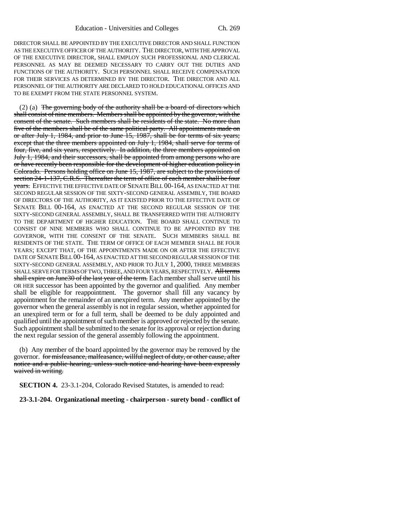DIRECTOR SHALL BE APPOINTED BY THE EXECUTIVE DIRECTOR AND SHALL FUNCTION AS THE EXECUTIVE OFFICER OF THE AUTHORITY. THE DIRECTOR, WITH THE APPROVAL OF THE EXECUTIVE DIRECTOR, SHALL EMPLOY SUCH PROFESSIONAL AND CLERICAL PERSONNEL AS MAY BE DEEMED NECESSARY TO CARRY OUT THE DUTIES AND FUNCTIONS OF THE AUTHORITY. SUCH PERSONNEL SHALL RECEIVE COMPENSATION FOR THEIR SERVICES AS DETERMINED BY THE DIRECTOR. THE DIRECTOR AND ALL PERSONNEL OF THE AUTHORITY ARE DECLARED TO HOLD EDUCATIONAL OFFICES AND TO BE EXEMPT FROM THE STATE PERSONNEL SYSTEM.

 $(2)$  (a) The governing body of the authority shall be a board of directors which shall consist of nine members. Members shall be appointed by the governor, with the consent of the senate. Such members shall be residents of the state. No more than five of the members shall be of the same political party. All appointments made on or after July 1, 1984, and prior to June 15, 1987, shall be for terms of six years; except that the three members appointed on July 1, 1984, shall serve for terms of four, five, and six years, respectively. In addition, the three members appointed on July 1, 1984, and their successors, shall be appointed from among persons who are or have recently been responsible for the development of higher education policy in Colorado. Persons holding office on June 15, 1987, are subject to the provisions of section 24-1-137, C.R.S. Thereafter the term of office of each member shall be four years. EFFECTIVE THE EFFECTIVE DATE OF SENATE BILL 00-164, AS ENACTED AT THE SECOND REGULAR SESSION OF THE SIXTY-SECOND GENERAL ASSEMBLY, THE BOARD OF DIRECTORS OF THE AUTHORITY, AS IT EXISTED PRIOR TO THE EFFECTIVE DATE OF SENATE BILL 00-164, AS ENACTED AT THE SECOND REGULAR SESSION OF THE SIXTY-SECOND GENERAL ASSEMBLY, SHALL BE TRANSFERRED WITH THE AUTHORITY TO THE DEPARTMENT OF HIGHER EDUCATION. THE BOARD SHALL CONTINUE TO CONSIST OF NINE MEMBERS WHO SHALL CONTINUE TO BE APPOINTED BY THE GOVERNOR, WITH THE CONSENT OF THE SENATE. SUCH MEMBERS SHALL BE RESIDENTS OF THE STATE. THE TERM OF OFFICE OF EACH MEMBER SHALL BE FOUR YEARS; EXCEPT THAT, OF THE APPOINTMENTS MADE ON OR AFTER THE EFFECTIVE DATE OF SENATE BILL 00-164, AS ENACTED AT THE SECOND REGULAR SESSION OF THE SIXTY-SECOND GENERAL ASSEMBLY, AND PRIOR TO JULY 1, 2000, THREE MEMBERS SHALL SERVE FOR TERMS OF TWO, THREE, AND FOUR YEARS, RESPECTIVELY. All terms shall expire on June30 of the last year of the term. Each member shall serve until his OR HER successor has been appointed by the governor and qualified. Any member shall be eligible for reappointment. The governor shall fill any vacancy by appointment for the remainder of an unexpired term. Any member appointed by the governor when the general assembly is not in regular session, whether appointed for an unexpired term or for a full term, shall be deemed to be duly appointed and qualified until the appointment of such member is approved or rejected by the senate. Such appointment shall be submitted to the senate for its approval or rejection during the next regular session of the general assembly following the appointment.

(b) Any member of the board appointed by the governor may be removed by the governor. for misfeasance, malfeasance, willful neglect of duty, or other cause, after notice and a public hearing, unless such notice and hearing have been expressly waived in writing.

**SECTION 4.** 23-3.1-204, Colorado Revised Statutes, is amended to read:

**23-3.1-204. Organizational meeting - chairperson - surety bond - conflict of**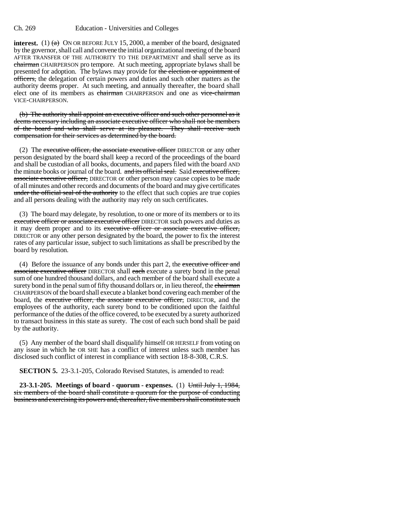#### Ch. 269 Education - Universities and Colleges

**interest.** (1)  $\left(\frac{a}{b}\right)$  ON OR BEFORE JULY 15, 2000, a member of the board, designated by the governor, shall call and convene the initial organizational meeting of the board AFTER TRANSFER OF THE AUTHORITY TO THE DEPARTMENT and shall serve as its chairman CHAIRPERSON pro tempore. At such meeting, appropriate bylaws shall be presented for adoption. The bylaws may provide for the election or appointment of officers, the delegation of certain powers and duties and such other matters as the authority deems proper. At such meeting, and annually thereafter, the board shall elect one of its members as chairman CHAIRPERSON and one as vice-chairman VICE-CHAIRPERSON.

(b) The authority shall appoint an executive officer and such other personnel as it deems necessary including an associate executive officer who shall not be members of the board and who shall serve at its pleasure. They shall receive such compensation for their services as determined by the board.

(2) The executive officer, the associate executive officer DIRECTOR or any other person designated by the board shall keep a record of the proceedings of the board and shall be custodian of all books, documents, and papers filed with the board AND the minute books or journal of the board. and its official seal. Said executive officer, associate executive officer, DIRECTOR or other person may cause copies to be made of all minutes and other records and documents of the board and may give certificates under the official seal of the authority to the effect that such copies are true copies and all persons dealing with the authority may rely on such certificates.

(3) The board may delegate, by resolution, to one or more of its members or to its executive officer or associate executive officer DIRECTOR such powers and duties as it may deem proper and to its executive officer or associate executive officer, DIRECTOR or any other person designated by the board, the power to fix the interest rates of any particular issue, subject to such limitations as shall be prescribed by the board by resolution.

(4) Before the issuance of any bonds under this part 2, the executive officer and associate executive officer DIRECTOR shall each execute a surety bond in the penal sum of one hundred thousand dollars, and each member of the board shall execute a surety bond in the penal sum of fifty thousand dollars or, in lieu thereof, the chairman CHAIRPERSON of the board shall execute a blanket bond covering each member of the board, the executive officer, the associate executive officer, DIRECTOR, and the employees of the authority, each surety bond to be conditioned upon the faithful performance of the duties of the office covered, to be executed by a surety authorized to transact business in this state as surety. The cost of each such bond shall be paid by the authority.

(5) Any member of the board shall disqualify himself OR HERSELF from voting on any issue in which he OR SHE has a conflict of interest unless such member has disclosed such conflict of interest in compliance with section 18-8-308, C.R.S.

**SECTION 5.** 23-3.1-205, Colorado Revised Statutes, is amended to read:

**23-3.1-205. Meetings of board - quorum - expenses.** (1) Until July 1, 1984, six members of the board shall constitute a quorum for the purpose of conducting business and exercising its powers and, thereafter, five members shall constitute such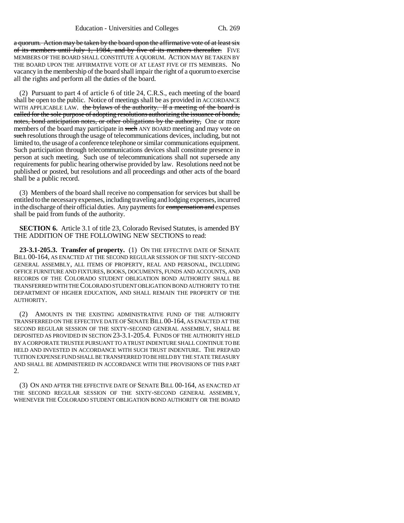a quorum. Action may be taken by the board upon the affirmative vote of at least six of its members until July 1, 1984, and by five of its members thereafter. FIVE MEMBERS OF THE BOARD SHALL CONSTITUTE A QUORUM. ACTION MAY BE TAKEN BY THE BOARD UPON THE AFFIRMATIVE VOTE OF AT LEAST FIVE OF ITS MEMBERS. No vacancy in the membership of the board shall impair the right of a quorum to exercise all the rights and perform all the duties of the board.

(2) Pursuant to part 4 of article 6 of title 24, C.R.S., each meeting of the board shall be open to the public. Notice of meetings shall be as provided in ACCORDANCE WITH APPLICABLE LAW. the bylaws of the authority. If a meeting of the board is called for the sole purpose of adopting resolutions authorizing the issuance of bonds, notes, bond anticipation notes, or other obligations by the authority. One or more members of the board may participate in such ANY BOARD meeting and may vote on such resolutions through the usage of telecommunications devices, including, but not limited to, the usage of a conference telephone or similar communications equipment. Such participation through telecommunications devices shall constitute presence in person at such meeting. Such use of telecommunications shall not supersede any requirements for public hearing otherwise provided by law. Resolutions need not be published or posted, but resolutions and all proceedings and other acts of the board shall be a public record.

(3) Members of the board shall receive no compensation for services but shall be entitled to the necessary expenses, including traveling and lodging expenses, incurred in the discharge of their official duties. Any payments for compensation and expenses shall be paid from funds of the authority.

**SECTION 6.** Article 3.1 of title 23, Colorado Revised Statutes, is amended BY THE ADDITION OF THE FOLLOWING NEW SECTIONS to read:

**23-3.1-205.3. Transfer of property.** (1) ON THE EFFECTIVE DATE OF SENATE BILL 00-164, AS ENACTED AT THE SECOND REGULAR SESSION OF THE SIXTY-SECOND GENERAL ASSEMBLY, ALL ITEMS OF PROPERTY, REAL AND PERSONAL, INCLUDING OFFICE FURNITURE AND FIXTURES, BOOKS, DOCUMENTS, FUNDS AND ACCOUNTS, AND RECORDS OF THE COLORADO STUDENT OBLIGATION BOND AUTHORITY SHALL BE TRANSFERRED WITH THE COLORADO STUDENT OBLIGATION BOND AUTHORITY TO THE DEPARTMENT OF HIGHER EDUCATION, AND SHALL REMAIN THE PROPERTY OF THE AUTHORITY.

(2) AMOUNTS IN THE EXISTING ADMINISTRATIVE FUND OF THE AUTHORITY TRANSFERRED ON THE EFFECTIVE DATE OF SENATE BILL 00-164, AS ENACTED AT THE SECOND REGULAR SESSION OF THE SIXTY-SECOND GENERAL ASSEMBLY, SHALL BE DEPOSITED AS PROVIDED IN SECTION 23-3.1-205.4. FUNDS OF THE AUTHORITY HELD BY A CORPORATE TRUSTEE PURSUANT TO A TRUST INDENTURE SHALL CONTINUE TO BE HELD AND INVESTED IN ACCORDANCE WITH SUCH TRUST INDENTURE. THE PREPAID TUITION EXPENSE FUND SHALL BE TRANSFERRED TO BE HELD BY THE STATE TREASURY AND SHALL BE ADMINISTERED IN ACCORDANCE WITH THE PROVISIONS OF THIS PART 2.

(3) ON AND AFTER THE EFFECTIVE DATE OF SENATE BILL 00-164, AS ENACTED AT THE SECOND REGULAR SESSION OF THE SIXTY-SECOND GENERAL ASSEMBLY, WHENEVER THE COLORADO STUDENT OBLIGATION BOND AUTHORITY OR THE BOARD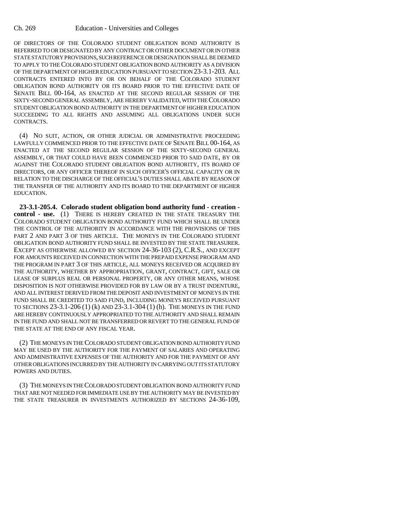OF DIRECTORS OF THE COLORADO STUDENT OBLIGATION BOND AUTHORITY IS REFERRED TO OR DESIGNATED BY ANY CONTRACT OR OTHER DOCUMENT OR IN OTHER STATE STATUTORY PROVISIONS, SUCH REFERENCE OR DESIGNATION SHALL BE DEEMED TO APPLY TO THE COLORADO STUDENT OBLIGATION BOND AUTHORITY AS A DIVISION OF THE DEPARTMENT OF HIGHER EDUCATION PURSUANT TO SECTION 23-3.1-203. ALL CONTRACTS ENTERED INTO BY OR ON BEHALF OF THE COLORADO STUDENT OBLIGATION BOND AUTHORITY OR ITS BOARD PRIOR TO THE EFFECTIVE DATE OF SENATE BILL 00-164, AS ENACTED AT THE SECOND REGULAR SESSION OF THE SIXTY-SECOND GENERAL ASSEMBLY, ARE HEREBY VALIDATED, WITH THE COLORADO STUDENT OBLIGATION BOND AUTHORITY IN THE DEPARTMENT OF HIGHER EDUCATION SUCCEEDING TO ALL RIGHTS AND ASSUMING ALL OBLIGATIONS UNDER SUCH CONTRACTS.

(4) NO SUIT, ACTION, OR OTHER JUDICIAL OR ADMINISTRATIVE PROCEEDING LAWFULLY COMMENCED PRIOR TO THE EFFECTIVE DATE OF SENATE BILL 00-164, AS ENACTED AT THE SECOND REGULAR SESSION OF THE SIXTY-SECOND GENERAL ASSEMBLY, OR THAT COULD HAVE BEEN COMMENCED PRIOR TO SAID DATE, BY OR AGAINST THE COLORADO STUDENT OBLIGATION BOND AUTHORITY, ITS BOARD OF DIRECTORS, OR ANY OFFICER THEREOF IN SUCH OFFICER'S OFFICIAL CAPACITY OR IN RELATION TO THE DISCHARGE OF THE OFFICIAL'S DUTIES SHALL ABATE BY REASON OF THE TRANSFER OF THE AUTHORITY AND ITS BOARD TO THE DEPARTMENT OF HIGHER EDUCATION.

**23-3.1-205.4. Colorado student obligation bond authority fund - creation control - use.** (1) THERE IS HEREBY CREATED IN THE STATE TREASURY THE COLORADO STUDENT OBLIGATION BOND AUTHORITY FUND WHICH SHALL BE UNDER THE CONTROL OF THE AUTHORITY IN ACCORDANCE WITH THE PROVISIONS OF THIS PART 2 AND PART 3 OF THIS ARTICLE. THE MONEYS IN THE COLORADO STUDENT OBLIGATION BOND AUTHORITY FUND SHALL BE INVESTED BY THE STATE TREASURER. EXCEPT AS OTHERWISE ALLOWED BY SECTION 24-36-103 (2), C.R.S., AND EXCEPT FOR AMOUNTS RECEIVED IN CONNECTION WITH THE PREPAID EXPENSE PROGRAM AND THE PROGRAM IN PART 3 OF THIS ARTICLE, ALL MONEYS RECEIVED OR ACQUIRED BY THE AUTHORITY, WHETHER BY APPROPRIATION, GRANT, CONTRACT, GIFT, SALE OR LEASE OF SURPLUS REAL OR PERSONAL PROPERTY, OR ANY OTHER MEANS, WHOSE DISPOSITION IS NOT OTHERWISE PROVIDED FOR BY LAW OR BY A TRUST INDENTURE, AND ALL INTEREST DERIVED FROM THE DEPOSIT AND INVESTMENT OF MONEYS IN THE FUND SHALL BE CREDITED TO SAID FUND, INCLUDING MONEYS RECEIVED PURSUANT TO SECTIONS 23-3.1-206 (1) (k) AND 23-3.1-304 (1) (h). THE MONEYS IN THE FUND ARE HEREBY CONTINUOUSLY APPROPRIATED TO THE AUTHORITY AND SHALL REMAIN IN THE FUND AND SHALL NOT BE TRANSFERRED OR REVERT TO THE GENERAL FUND OF THE STATE AT THE END OF ANY FISCAL YEAR.

(2) THE MONEYS IN THE COLORADO STUDENT OBLIGATION BOND AUTHORITY FUND MAY BE USED BY THE AUTHORITY FOR THE PAYMENT OF SALARIES AND OPERATING AND ADMINISTRATIVE EXPENSES OF THE AUTHORITY AND FOR THE PAYMENT OF ANY OTHER OBLIGATIONS INCURRED BY THE AUTHORITY IN CARRYING OUT ITS STATUTORY POWERS AND DUTIES.

(3) THE MONEYS IN THE COLORADO STUDENT OBLIGATION BOND AUTHORITY FUND THAT ARE NOT NEEDED FOR IMMEDIATE USE BY THE AUTHORITY MAY BE INVESTED BY THE STATE TREASURER IN INVESTMENTS AUTHORIZED BY SECTIONS 24-36-109,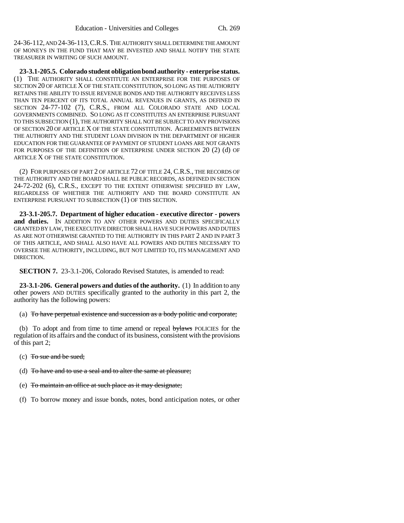24-36-112, AND 24-36-113,C.R.S. THE AUTHORITY SHALL DETERMINE THE AMOUNT OF MONEYS IN THE FUND THAT MAY BE INVESTED AND SHALL NOTIFY THE STATE TREASURER IN WRITING OF SUCH AMOUNT.

**23-3.1-205.5. Colorado student obligation bond authority - enterprise status.** (1) THE AUTHORITY SHALL CONSTITUTE AN ENTERPRISE FOR THE PURPOSES OF SECTION 20 OF ARTICLE X OF THE STATE CONSTITUTION, SO LONG AS THE AUTHORITY RETAINS THE ABILITY TO ISSUE REVENUE BONDS AND THE AUTHORITY RECEIVES LESS THAN TEN PERCENT OF ITS TOTAL ANNUAL REVENUES IN GRANTS, AS DEFINED IN SECTION 24-77-102 (7), C.R.S., FROM ALL COLORADO STATE AND LOCAL GOVERNMENTS COMBINED. SO LONG AS IT CONSTITUTES AN ENTERPRISE PURSUANT TO THIS SUBSECTION (1), THE AUTHORITY SHALL NOT BE SUBJECT TO ANY PROVISIONS OF SECTION 20 OF ARTICLE X OF THE STATE CONSTITUTION. AGREEMENTS BETWEEN THE AUTHORITY AND THE STUDENT LOAN DIVISION IN THE DEPARTMENT OF HIGHER EDUCATION FOR THE GUARANTEE OF PAYMENT OF STUDENT LOANS ARE NOT GRANTS FOR PURPOSES OF THE DEFINITION OF ENTERPRISE UNDER SECTION 20 (2) (d) OF ARTICLE X OF THE STATE CONSTITUTION.

(2) FOR PURPOSES OF PART 2 OF ARTICLE 72 OF TITLE 24, C.R.S., THE RECORDS OF THE AUTHORITY AND THE BOARD SHALL BE PUBLIC RECORDS, AS DEFINED IN SECTION 24-72-202 (6), C.R.S., EXCEPT TO THE EXTENT OTHERWISE SPECIFIED BY LAW, REGARDLESS OF WHETHER THE AUTHORITY AND THE BOARD CONSTITUTE AN ENTERPRISE PURSUANT TO SUBSECTION (1) OF THIS SECTION.

**23-3.1-205.7. Department of higher education - executive director - powers** and duties. IN ADDITION TO ANY OTHER POWERS AND DUTIES SPECIFICALLY GRANTED BY LAW, THE EXECUTIVE DIRECTOR SHALL HAVE SUCH POWERS AND DUTIES AS ARE NOT OTHERWISE GRANTED TO THE AUTHORITY IN THIS PART 2 AND IN PART 3 OF THIS ARTICLE, AND SHALL ALSO HAVE ALL POWERS AND DUTIES NECESSARY TO OVERSEE THE AUTHORITY, INCLUDING, BUT NOT LIMITED TO, ITS MANAGEMENT AND DIRECTION.

**SECTION 7.** 23-3.1-206, Colorado Revised Statutes, is amended to read:

**23-3.1-206. General powers and duties of the authority.** (1) In addition to any other powers AND DUTIES specifically granted to the authority in this part 2, the authority has the following powers:

(a) To have perpetual existence and succession as a body politic and corporate;

(b) To adopt and from time to time amend or repeal bylaws POLICIES for the regulation of its affairs and the conduct of its business, consistent with the provisions of this part 2;

- (c) To sue and be sued;
- (d) To have and to use a seal and to alter the same at pleasure;
- (e) To maintain an office at such place as it may designate;
- (f) To borrow money and issue bonds, notes, bond anticipation notes, or other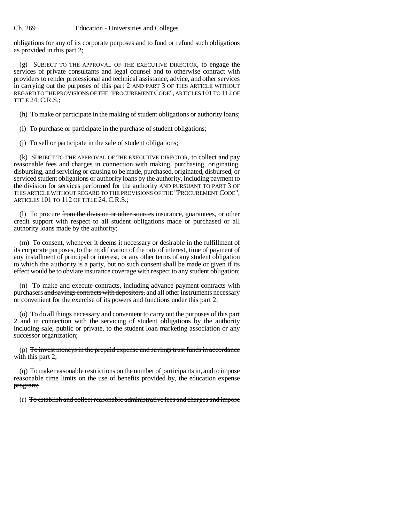obligations for any of its corporate purposes and to fund or refund such obligations as provided in this part 2;

(g) SUBJECT TO THE APPROVAL OF THE EXECUTIVE DIRECTOR, to engage the services of private consultants and legal counsel and to otherwise contract with providers to render professional and technical assistance, advice, and other services in carrying out the purposes of this part 2 AND PART 3 OF THIS ARTICLE WITHOUT REGARD TO THE PROVISIONS OF THE "PROCUREMENT CODE", ARTICLES 101 TO 112 OF TITLE 24, C.R.S.;

(h) To make or participate in the making of student obligations or authority loans;

(i) To purchase or participate in the purchase of student obligations;

(j) To sell or participate in the sale of student obligations;

(k) SUBJECT TO THE APPROVAL OF THE EXECUTIVE DIRECTOR, to collect and pay reasonable fees and charges in connection with making, purchasing, originating, disbursing, and servicing or causing to be made, purchased, originated, disbursed, or serviced student obligations or authority loans by the authority, including payment to the division for services performed for the authority AND PURSUANT TO PART 3 OF THIS ARTICLE WITHOUT REGARD TO THE PROVISIONS OF THE "PROCUREMENT CODE", ARTICLES 101 TO 112 OF TITLE 24, C.R.S.;

(1) To procure from the division or other sources insurance, guarantees, or other credit support with respect to all student obligations made or purchased or all authority loans made by the authority;

(m) To consent, whenever it deems it necessary or desirable in the fulfillment of its corporate purposes, to the modification of the rate of interest, time of payment of any installment of principal or interest, or any other terms of any student obligation to which the authority is a party, but no such consent shall be made or given if its effect would be to obviate insurance coverage with respect to any student obligation;

(n) To make and execute contracts, including advance payment contracts with purchasers and savings contracts with depositors, and all other instruments necessary or convenient for the exercise of its powers and functions under this part 2;

(o) To do all things necessary and convenient to carry out the purposes of this part 2 and in connection with the servicing of student obligations by the authority including sale, public or private, to the student loan marketing association or any successor organization;

 $(p)$  To invest moneys in the prepaid expense and savings trust funds in accordance with this part  $2$ ;

(q) To make reasonable restrictions on the number of participants in, and to impose reasonable time limits on the use of benefits provided by, the education expense program;

(r) To establish and collect reasonable administrative fees and charges and impose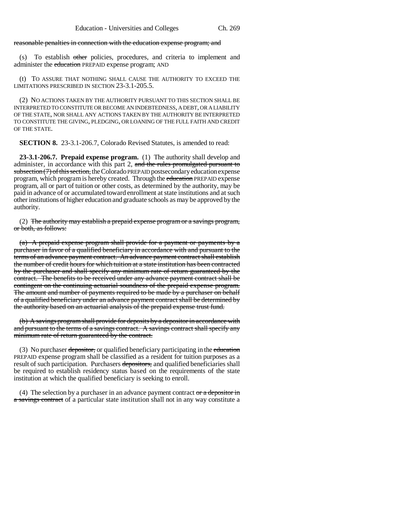#### reasonable penalties in connection with the education expense program; and

(s) To establish other policies, procedures, and criteria to implement and administer the education PREPAID expense program; AND

(t) TO ASSURE THAT NOTHING SHALL CAUSE THE AUTHORITY TO EXCEED THE LIMITATIONS PRESCRIBED IN SECTION 23-3.1-205.5.

(2) NO ACTIONS TAKEN BY THE AUTHORITY PURSUANT TO THIS SECTION SHALL BE INTERPRETED TO CONSTITUTE OR BECOME AN INDEBTEDNESS, A DEBT, OR A LIABILITY OF THE STATE, NOR SHALL ANY ACTIONS TAKEN BY THE AUTHORITY BE INTERPRETED TO CONSTITUTE THE GIVING, PLEDGING, OR LOANING OF THE FULL FAITH AND CREDIT OF THE STATE.

**SECTION 8.** 23-3.1-206.7, Colorado Revised Statutes, is amended to read:

**23-3.1-206.7. Prepaid expense program.** (1) The authority shall develop and administer, in accordance with this part 2, and the rules promulgated pursuant to subsection (7) of this section, the Colorado PREPAID postsecondary education expense program, which program is hereby created. Through the education PREPAID expense program, all or part of tuition or other costs, as determined by the authority, may be paid in advance of or accumulated toward enrollment at state institutions and at such other institutions of higher education and graduate schools as may be approved by the authority.

(2) The authority may establish a prepaid expense program or a savings program, or both, as follows:

(a) A prepaid expense program shall provide for a payment or payments by a purchaser in favor of a qualified beneficiary in accordance with and pursuant to the terms of an advance payment contract. An advance payment contract shall establish the number of credit hours for which tuition at a state institution has been contracted by the purchaser and shall specify any minimum rate of return guaranteed by the contract. The benefits to be received under any advance payment contract shall be contingent on the continuing actuarial soundness of the prepaid expense program. The amount and number of payments required to be made by a purchaser on behalf of a qualified beneficiary under an advance payment contract shall be determined by the authority based on an actuarial analysis of the prepaid expense trust fund.

(b) A savings program shall provide for deposits by a depositor in accordance with and pursuant to the terms of a savings contract. A savings contract shall specify any minimum rate of return guaranteed by the contract.

(3) No purchaser depositor, or qualified beneficiary participating in the education PREPAID expense program shall be classified as a resident for tuition purposes as a result of such participation. Purchasers depositors, and qualified beneficiaries shall be required to establish residency status based on the requirements of the state institution at which the qualified beneficiary is seeking to enroll.

(4) The selection by a purchaser in an advance payment contract  $\sigma$  a depositor in a savings contract of a particular state institution shall not in any way constitute a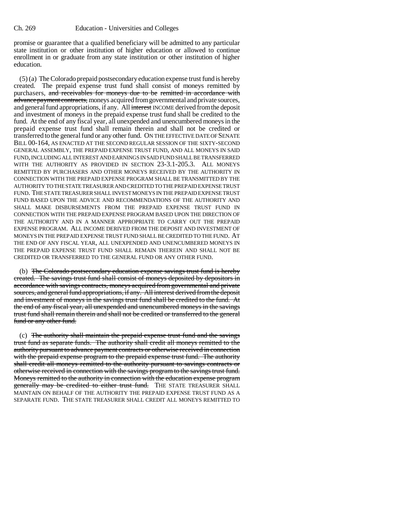promise or guarantee that a qualified beneficiary will be admitted to any particular state institution or other institution of higher education or allowed to continue enrollment in or graduate from any state institution or other institution of higher education.

(5) (a) The Colorado prepaid postsecondary education expense trust fund is hereby created. The prepaid expense trust fund shall consist of moneys remitted by purchasers, and receivables for moneys due to be remitted in accordance with advance payment contracts, moneys acquired from governmental and private sources, and general fund appropriations, if any. All interest INCOME derived from the deposit and investment of moneys in the prepaid expense trust fund shall be credited to the fund. At the end of any fiscal year, all unexpended and unencumbered moneys in the prepaid expense trust fund shall remain therein and shall not be credited or transferred to the general fund or any other fund. ON THE EFFECTIVE DATE OF SENATE BILL 00-164, AS ENACTED AT THE SECOND REGULAR SESSION OF THE SIXTY-SECOND GENERAL ASSEMBLY, THE PREPAID EXPENSE TRUST FUND, AND ALL MONEYS IN SAID FUND, INCLUDING ALL INTEREST AND EARNINGS IN SAID FUND SHALL BE TRANSFERRED WITH THE AUTHORITY AS PROVIDED IN SECTION 23-3.1-205.3. ALL MONEYS REMITTED BY PURCHASERS AND OTHER MONEYS RECEIVED BY THE AUTHORITY IN CONNECTION WITH THE PREPAID EXPENSE PROGRAM SHALL BE TRANSMITTED BY THE AUTHORITY TO THE STATE TREASURER AND CREDITED TO THE PREPAID EXPENSE TRUST FUND. THE STATE TREASURER SHALL INVEST MONEYS IN THE PREPAID EXPENSE TRUST FUND BASED UPON THE ADVICE AND RECOMMENDATIONS OF THE AUTHORITY AND SHALL MAKE DISBURSEMENTS FROM THE PREPAID EXPENSE TRUST FUND IN CONNECTION WITH THE PREPAID EXPENSE PROGRAM BASED UPON THE DIRECTION OF THE AUTHORITY AND IN A MANNER APPROPRIATE TO CARRY OUT THE PREPAID EXPENSE PROGRAM. ALL INCOME DERIVED FROM THE DEPOSIT AND INVESTMENT OF MONEYS IN THE PREPAID EXPENSE TRUST FUND SHALL BE CREDITED TO THE FUND. AT THE END OF ANY FISCAL YEAR, ALL UNEXPENDED AND UNENCUMBERED MONEYS IN THE PREPAID EXPENSE TRUST FUND SHALL REMAIN THEREIN AND SHALL NOT BE CREDITED OR TRANSFERRED TO THE GENERAL FUND OR ANY OTHER FUND.

(b) The Colorado postsecondary education expense savings trust fund is hereby created. The savings trust fund shall consist of moneys deposited by depositors in accordance with savings contracts, moneys acquired from governmental and private sources, and general fund appropriations, if any. All interest derived from the deposit and investment of moneys in the savings trust fund shall be credited to the fund. At the end of any fiscal year, all unexpended and unencumbered moneys in the savings trust fund shall remain therein and shall not be credited or transferred to the general fund or any other fund.

(c) The authority shall maintain the prepaid expense trust fund and the savings trust fund as separate funds. The authority shall credit all moneys remitted to the authority pursuant to advance payment contracts or otherwise received in connection with the prepaid expense program to the prepaid expense trust fund. The authority shall credit all moneys remitted to the authority pursuant to savings contracts or otherwise received in connection with the savings program to the savings trust fund. Moneys remitted to the authority in connection with the education expense program generally may be credited to either trust fund. THE STATE TREASURER SHALL MAINTAIN ON BEHALF OF THE AUTHORITY THE PREPAID EXPENSE TRUST FUND AS A SEPARATE FUND. THE STATE TREASURER SHALL CREDIT ALL MONEYS REMITTED TO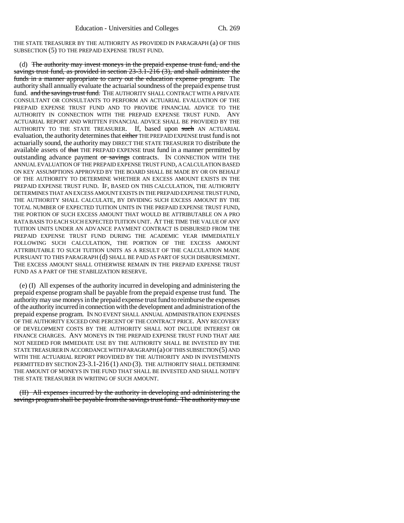THE STATE TREASURER BY THE AUTHORITY AS PROVIDED IN PARAGRAPH (a) OF THIS SUBSECTION (5) TO THE PREPAID EXPENSE TRUST FUND.

(d) The authority may invest moneys in the prepaid expense trust fund, and the savings trust fund, as provided in section 23-3.1-216 (3), and shall administer the funds in a manner appropriate to carry out the education expense program. The authority shall annually evaluate the actuarial soundness of the prepaid expense trust fund. and the savings trust fund. THE AUTHORITY SHALL CONTRACT WITH A PRIVATE CONSULTANT OR CONSULTANTS TO PERFORM AN ACTUARIAL EVALUATION OF THE PREPAID EXPENSE TRUST FUND AND TO PROVIDE FINANCIAL ADVICE TO THE AUTHORITY IN CONNECTION WITH THE PREPAID EXPENSE TRUST FUND. ANY ACTUARIAL REPORT AND WRITTEN FINANCIAL ADVICE SHALL BE PROVIDED BY THE AUTHORITY TO THE STATE TREASURER. If, based upon such AN ACTUARIAL evaluation, the authority determines that either THE PREPAID EXPENSE trust fund is not actuarially sound, the authority may DIRECT THE STATE TREASURER TO distribute the available assets of that THE PREPAID EXPENSE trust fund in a manner permitted by outstanding advance payment or savings contracts. IN CONNECTION WITH THE ANNUAL EVALUATION OF THE PREPAID EXPENSE TRUST FUND, A CALCULATION BASED ON KEY ASSUMPTIONS APPROVED BY THE BOARD SHALL BE MADE BY OR ON BEHALF OF THE AUTHORITY TO DETERMINE WHETHER AN EXCESS AMOUNT EXISTS IN THE PREPAID EXPENSE TRUST FUND. IF, BASED ON THIS CALCULATION, THE AUTHORITY DETERMINES THAT AN EXCESS AMOUNT EXISTS IN THE PREPAID EXPENSE TRUST FUND, THE AUTHORITY SHALL CALCULATE, BY DIVIDING SUCH EXCESS AMOUNT BY THE TOTAL NUMBER OF EXPECTED TUITION UNITS IN THE PREPAID EXPENSE TRUST FUND, THE PORTION OF SUCH EXCESS AMOUNT THAT WOULD BE ATTRIBUTABLE ON A PRO RATA BASIS TO EACH SUCH EXPECTED TUITION UNIT. AT THE TIME THE VALUE OF ANY TUITION UNITS UNDER AN ADVANCE PAYMENT CONTRACT IS DISBURSED FROM THE PREPAID EXPENSE TRUST FUND DURING THE ACADEMIC YEAR IMMEDIATELY FOLLOWING SUCH CALCULATION, THE PORTION OF THE EXCESS AMOUNT ATTRIBUTABLE TO SUCH TUITION UNITS AS A RESULT OF THE CALCULATION MADE PURSUANT TO THIS PARAGRAPH (d) SHALL BE PAID AS PART OF SUCH DISBURSEMENT. THE EXCESS AMOUNT SHALL OTHERWISE REMAIN IN THE PREPAID EXPENSE TRUST FUND AS A PART OF THE STABILIZATION RESERVE.

(e) (I) All expenses of the authority incurred in developing and administering the prepaid expense program shall be payable from the prepaid expense trust fund. The authority may use moneys in the prepaid expense trust fund to reimburse the expenses of the authority incurred in connection with the development and administration of the prepaid expense program. IN NO EVENT SHALL ANNUAL ADMINISTRATION EXPENSES OF THE AUTHORITY EXCEED ONE PERCENT OF THE CONTRACT PRICE. ANY RECOVERY OF DEVELOPMENT COSTS BY THE AUTHORITY SHALL NOT INCLUDE INTEREST OR FINANCE CHARGES. ANY MONEYS IN THE PREPAID EXPENSE TRUST FUND THAT ARE NOT NEEDED FOR IMMEDIATE USE BY THE AUTHORITY SHALL BE INVESTED BY THE STATE TREASURER IN ACCORDANCE WITH PARAGRAPH (a) OF THIS SUBSECTION (5) AND WITH THE ACTUARIAL REPORT PROVIDED BY THE AUTHORITY AND IN INVESTMENTS PERMITTED BY SECTION 23-3.1-216 (1) AND (3). THE AUTHORITY SHALL DETERMINE THE AMOUNT OF MONEYS IN THE FUND THAT SHALL BE INVESTED AND SHALL NOTIFY THE STATE TREASURER IN WRITING OF SUCH AMOUNT.

(II) All expenses incurred by the authority in developing and administering the savings program shall be payable from the savings trust fund. The authority may use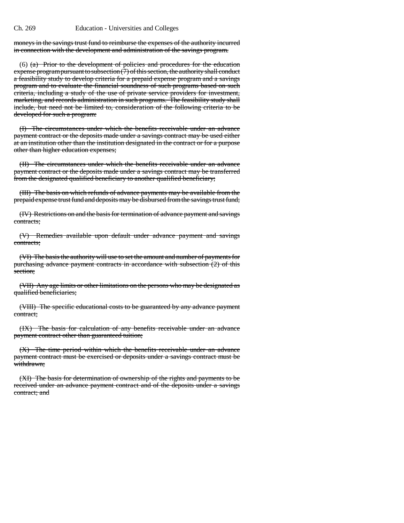moneys in the savings trust fund to reimburse the expenses of the authority incurred in connection with the development and administration of the savings program.

(6) (a) Prior to the development of policies and procedures for the education expense program pursuant to subsection  $(7)$  of this section, the authority shall conduct a feasibility study to develop criteria for a prepaid expense program and a savings program and to evaluate the financial soundness of such programs based on such criteria, including a study of the use of private service providers for investment, marketing, and records administration in such programs. The feasibility study shall include, but need not be limited to, consideration of the following criteria to be developed for such a program:

(I) The circumstances under which the benefits receivable under an advance payment contract or the deposits made under a savings contract may be used either at an institution other than the institution designated in the contract or for a purpose other than higher education expenses;

(II) The circumstances under which the benefits receivable under an advance payment contract or the deposits made under a savings contract may be transferred from the designated qualified beneficiary to another qualified beneficiary;

(III) The basis on which refunds of advance payments may be available from the prepaid expense trust fund and deposits may be disbursed from the savings trust fund;

(IV) Restrictions on and the basis for termination of advance payment and savings contracts;

(V) Remedies available upon default under advance payment and savings contracts;

(VI) The basis the authority will use to set the amount and number of payments for purchasing advance payment contracts in accordance with subsection (2) of this section;

(VII) Any age limits or other limitations on the persons who may be designated as qualified beneficiaries;

(VIII) The specific educational costs to be guaranteed by any advance payment contract;

(IX) The basis for calculation of any benefits receivable under an advance payment contract other than guaranteed tuition;

(X) The time period within which the benefits receivable under an advance payment contract must be exercised or deposits under a savings contract must be withdrawn;

(XI) The basis for determination of ownership of the rights and payments to be received under an advance payment contract and of the deposits under a savings contract; and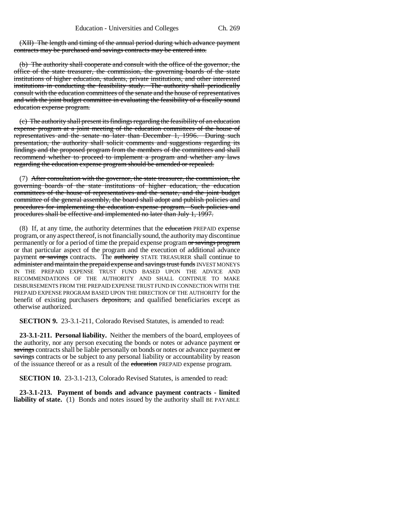(XII) The length and timing of the annual period during which advance payment contracts may be purchased and savings contracts may be entered into.

(b) The authority shall cooperate and consult with the office of the governor, the office of the state treasurer, the commission, the governing boards of the state institutions of higher education, students, private institutions, and other interested institutions in conducting the feasibility study. The authority shall periodically consult with the education committees of the senate and the house of representatives and with the joint budget committee in evaluating the feasibility of a fiscally sound education expense program.

(c) The authority shall present its findings regarding the feasibility of an education expense program at a joint meeting of the education committees of the house of representatives and the senate no later than December 1, 1996. During such presentation, the authority shall solicit comments and suggestions regarding its findings and the proposed program from the members of the committees and shall recommend whether to proceed to implement a program and whether any laws regarding the education expense program should be amended or repealed.

(7) After consultation with the governor, the state treasurer, the commission, the governing boards of the state institutions of higher education, the education committees of the house of representatives and the senate, and the joint budget committee of the general assembly, the board shall adopt and publish policies and procedures for implementing the education expense program. Such policies and procedures shall be effective and implemented no later than July 1, 1997.

(8) If, at any time, the authority determines that the education PREPAID expense program, or any aspect thereof, is not financially sound, the authority may discontinue permanently or for a period of time the prepaid expense program or savings program or that particular aspect of the program and the execution of additional advance payment or savings contracts. The authority STATE TREASURER shall continue to administer and maintain the prepaid expense and savings trust funds INVEST MONEYS IN THE PREPAID EXPENSE TRUST FUND BASED UPON THE ADVICE AND RECOMMENDATIONS OF THE AUTHORITY AND SHALL CONTINUE TO MAKE DISBURSEMENTS FROM THE PREPAID EXPENSE TRUST FUND IN CONNECTION WITH THE PREPAID EXPENSE PROGRAM BASED UPON THE DIRECTION OF THE AUTHORITY for the benefit of existing purchasers depositors, and qualified beneficiaries except as otherwise authorized.

**SECTION 9.** 23-3.1-211, Colorado Revised Statutes, is amended to read:

**23-3.1-211. Personal liability.** Neither the members of the board, employees of the authority, nor any person executing the bonds or notes or advance payment or savings contracts shall be liable personally on bonds or notes or advance payment or savings contracts or be subject to any personal liability or accountability by reason of the issuance thereof or as a result of the education PREPAID expense program.

**SECTION 10.** 23-3.1-213, Colorado Revised Statutes, is amended to read:

**23-3.1-213. Payment of bonds and advance payment contracts - limited liability of state.** (1) Bonds and notes issued by the authority shall BE PAYABLE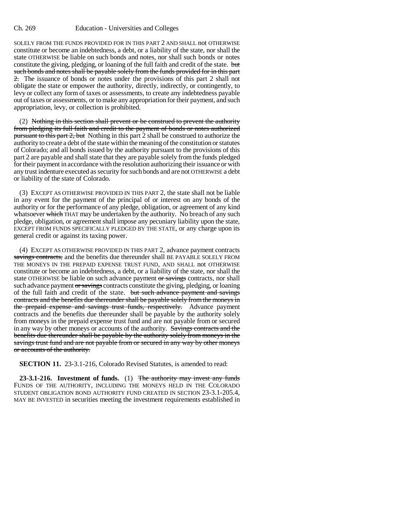#### Ch. 269 Education - Universities and Colleges

SOLELY FROM THE FUNDS PROVIDED FOR IN THIS PART 2 AND SHALL not OTHERWISE constitute or become an indebtedness, a debt, or a liability of the state, nor shall the state OTHERWISE be liable on such bonds and notes, nor shall such bonds or notes constitute the giving, pledging, or loaning of the full faith and credit of the state. but such bonds and notes shall be payable solely from the funds provided for in this part 2. The issuance of bonds or notes under the provisions of this part 2 shall not obligate the state or empower the authority, directly, indirectly, or contingently, to levy or collect any form of taxes or assessments, to create any indebtedness payable out of taxes or assessments, or to make any appropriation for their payment, and such appropriation, levy, or collection is prohibited.

(2) Nothing in this section shall prevent or be construed to prevent the authority from pledging its full faith and credit to the payment of bonds or notes authorized pursuant to this part 2, but Nothing in this part 2 shall be construed to authorize the authority to create a debt of the state within the meaning of the constitution or statutes of Colorado; and all bonds issued by the authority pursuant to the provisions of this part 2 are payable and shall state that they are payable solely from the funds pledged for their payment in accordance with the resolution authorizing their issuance or with any trust indenture executed as security for such bonds and are not OTHERWISE a debt or liability of the state of Colorado.

(3) EXCEPT AS OTHERWISE PROVIDED IN THIS PART 2, the state shall not be liable in any event for the payment of the principal of or interest on any bonds of the authority or for the performance of any pledge, obligation, or agreement of any kind whatsoever which THAT may be undertaken by the authority. No breach of any such pledge, obligation, or agreement shall impose any pecuniary liability upon the state, EXCEPT FROM FUNDS SPECIFICALLY PLEDGED BY THE STATE, or any charge upon its general credit or against its taxing power.

(4) EXCEPT AS OTHERWISE PROVIDED IN THIS PART 2, advance payment contracts savings contracts, and the benefits due thereunder shall BE PAYABLE SOLELY FROM THE MONEYS IN THE PREPAID EXPENSE TRUST FUND, AND SHALL not OTHERWISE constitute or become an indebtedness, a debt, or a liability of the state, nor shall the state OTHERWISE be liable on such advance payment or savings contracts, nor shall such advance payment or savings contracts constitute the giving, pledging, or loaning of the full faith and credit of the state. but such advance payment and savings contracts and the benefits due thereunder shall be payable solely from the moneys in the prepaid expense and savings trust funds, respectively. Advance payment contracts and the benefits due thereunder shall be payable by the authority solely from moneys in the prepaid expense trust fund and are not payable from or secured in any way by other moneys or accounts of the authority. Savings contracts and the benefits due thereunder shall be payable by the authority solely from moneys in the savings trust fund and are not payable from or secured in any way by other moneys or accounts of the authority.

**SECTION 11.** 23-3.1-216, Colorado Revised Statutes, is amended to read:

**23-3.1-216. Investment of funds.** (1) The authority may invest any funds FUNDS OF THE AUTHORITY, INCLUDING THE MONEYS HELD IN THE COLORADO STUDENT OBLIGATION BOND AUTHORITY FUND CREATED IN SECTION 23-3.1-205.4, MAY BE INVESTED in securities meeting the investment requirements established in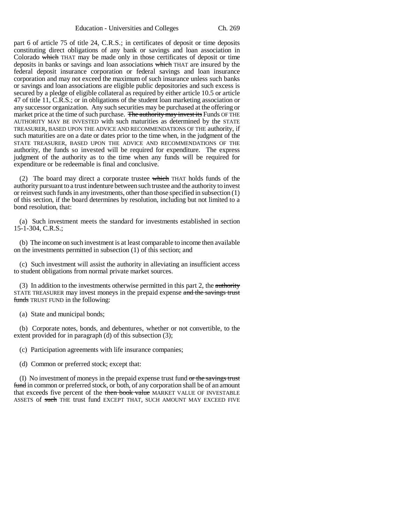part 6 of article 75 of title 24, C.R.S.; in certificates of deposit or time deposits constituting direct obligations of any bank or savings and loan association in Colorado which THAT may be made only in those certificates of deposit or time deposits in banks or savings and loan associations which THAT are insured by the federal deposit insurance corporation or federal savings and loan insurance corporation and may not exceed the maximum of such insurance unless such banks or savings and loan associations are eligible public depositories and such excess is secured by a pledge of eligible collateral as required by either article 10.5 or article 47 of title 11, C.R.S.; or in obligations of the student loan marketing association or any successor organization. Any such securities may be purchased at the offering or market price at the time of such purchase. The authority may invest its Funds OF THE AUTHORITY MAY BE INVESTED with such maturities as determined by the STATE TREASURER, BASED UPON THE ADVICE AND RECOMMENDATIONS OF THE authority, if such maturities are on a date or dates prior to the time when, in the judgment of the STATE TREASURER, BASED UPON THE ADVICE AND RECOMMENDATIONS OF THE authority, the funds so invested will be required for expenditure. The express judgment of the authority as to the time when any funds will be required for expenditure or be redeemable is final and conclusive.

(2) The board may direct a corporate trustee  $\frac{1}{2}$  which THAT holds funds of the authority pursuant to a trust indenture between such trustee and the authority to invest or reinvest such funds in any investments, other than those specified in subsection (1) of this section, if the board determines by resolution, including but not limited to a bond resolution, that:

(a) Such investment meets the standard for investments established in section 15-1-304, C.R.S.;

(b) The income on such investment is at least comparable to income then available on the investments permitted in subsection (1) of this section; and

(c) Such investment will assist the authority in alleviating an insufficient access to student obligations from normal private market sources.

(3) In addition to the investments otherwise permitted in this part 2, the authority STATE TREASURER may invest moneys in the prepaid expense and the savings trust funds TRUST FUND in the following:

(a) State and municipal bonds;

(b) Corporate notes, bonds, and debentures, whether or not convertible, to the extent provided for in paragraph (d) of this subsection (3);

(c) Participation agreements with life insurance companies;

(d) Common or preferred stock; except that:

(I) No investment of moneys in the prepaid expense trust fund  $\sigma r$  the savings trust fund in common or preferred stock, or both, of any corporation shall be of an amount that exceeds five percent of the then book value MARKET VALUE OF INVESTABLE ASSETS of such THE trust fund EXCEPT THAT, SUCH AMOUNT MAY EXCEED FIVE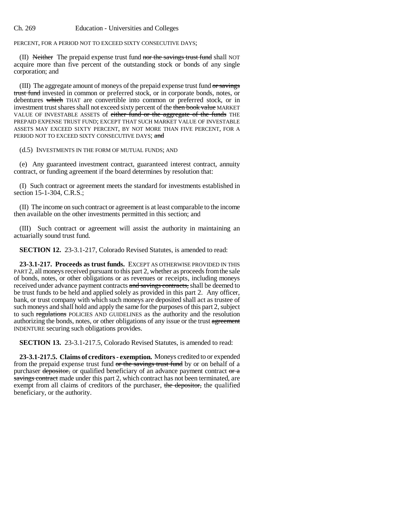PERCENT, FOR A PERIOD NOT TO EXCEED SIXTY CONSECUTIVE DAYS;

(II) Neither The prepaid expense trust fund nor the savings trust fund shall NOT acquire more than five percent of the outstanding stock or bonds of any single corporation; and

(III) The aggregate amount of moneys of the prepaid expense trust fund or savings trust fund invested in common or preferred stock, or in corporate bonds, notes, or debentures which THAT are convertible into common or preferred stock, or in investment trust shares shall not exceed sixty percent of the then book value MARKET VALUE OF INVESTABLE ASSETS of either fund or the aggregate of the funds THE PREPAID EXPENSE TRUST FUND; EXCEPT THAT SUCH MARKET VALUE OF INVESTABLE ASSETS MAY EXCEED SIXTY PERCENT, BY NOT MORE THAN FIVE PERCENT, FOR A PERIOD NOT TO EXCEED SIXTY CONSECUTIVE DAYS; and

(d.5) INVESTMENTS IN THE FORM OF MUTUAL FUNDS; AND

(e) Any guaranteed investment contract, guaranteed interest contract, annuity contract, or funding agreement if the board determines by resolution that:

(I) Such contract or agreement meets the standard for investments established in section 15-1-304, C.R.S.;

(II) The income on such contract or agreement is at least comparable to the income then available on the other investments permitted in this section; and

(III) Such contract or agreement will assist the authority in maintaining an actuarially sound trust fund.

**SECTION 12.** 23-3.1-217, Colorado Revised Statutes, is amended to read:

**23-3.1-217. Proceeds as trust funds.** EXCEPT AS OTHERWISE PROVIDED IN THIS PART 2, all moneys received pursuant to this part 2, whether as proceeds from the sale of bonds, notes, or other obligations or as revenues or receipts, including moneys received under advance payment contracts and savings contracts, shall be deemed to be trust funds to be held and applied solely as provided in this part 2. Any officer, bank, or trust company with which such moneys are deposited shall act as trustee of such moneys and shall hold and apply the same for the purposes of this part 2, subject to such regulations POLICIES AND GUIDELINES as the authority and the resolution authorizing the bonds, notes, or other obligations of any issue or the trust agreement INDENTURE securing such obligations provides.

**SECTION 13.** 23-3.1-217.5, Colorado Revised Statutes, is amended to read:

**23-3.1-217.5. Claims of creditors - exemption.** Moneys credited to or expended from the prepaid expense trust fund or the savings trust fund by or on behalf of a purchaser depositor, or qualified beneficiary of an advance payment contract or a savings contract made under this part 2, which contract has not been terminated, are exempt from all claims of creditors of the purchaser, the depositor, the qualified beneficiary, or the authority.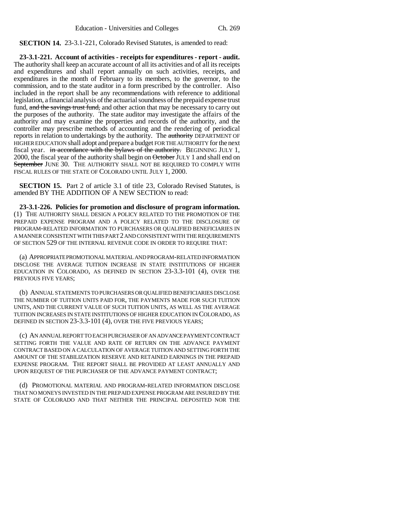**SECTION 14.** 23-3.1-221, Colorado Revised Statutes, is amended to read:

**23-3.1-221. Account of activities - receipts for expenditures - report - audit.** The authority shall keep an accurate account of all its activities and of all its receipts and expenditures and shall report annually on such activities, receipts, and expenditures in the month of February to its members, to the governor, to the commission, and to the state auditor in a form prescribed by the controller. Also included in the report shall be any recommendations with reference to additional legislation, a financial analysis of the actuarial soundness of the prepaid expense trust fund, and the savings trust fund, and other action that may be necessary to carry out the purposes of the authority. The state auditor may investigate the affairs of the authority and may examine the properties and records of the authority, and the controller may prescribe methods of accounting and the rendering of periodical reports in relation to undertakings by the authority. The authority DEPARTMENT OF HIGHER EDUCATION shall adopt and prepare a budget FOR THE AUTHORITY for the next fiscal year. in accordance with the bylaws of the authority. BEGINNING JULY 1, 2000, the fiscal year of the authority shall begin on **October** JULY 1 and shall end on September JUNE 30. THE AUTHORITY SHALL NOT BE REQUIRED TO COMPLY WITH FISCAL RULES OF THE STATE OF COLORADO UNTIL JULY 1, 2000.

**SECTION 15.** Part 2 of article 3.1 of title 23, Colorado Revised Statutes, is amended BY THE ADDITION OF A NEW SECTION to read:

**23-3.1-226. Policies for promotion and disclosure of program information.** (1) THE AUTHORITY SHALL DESIGN A POLICY RELATED TO THE PROMOTION OF THE PREPAID EXPENSE PROGRAM AND A POLICY RELATED TO THE DISCLOSURE OF PROGRAM-RELATED INFORMATION TO PURCHASERS OR QUALIFIED BENEFICIARIES IN A MANNER CONSISTENT WITH THIS PART 2 AND CONSISTENT WITH THE REQUIREMENTS OF SECTION 529 OF THE INTERNAL REVENUE CODE IN ORDER TO REQUIRE THAT:

(a) APPROPRIATE PROMOTIONAL MATERIAL AND PROGRAM-RELATED INFORMATION DISCLOSE THE AVERAGE TUITION INCREASE IN STATE INSTITUTIONS OF HIGHER EDUCATION IN COLORADO, AS DEFINED IN SECTION 23-3.3-101 (4), OVER THE PREVIOUS FIVE YEARS;

(b) ANNUAL STATEMENTS TO PURCHASERS OR QUALIFIED BENEFICIARIES DISCLOSE THE NUMBER OF TUITION UNITS PAID FOR, THE PAYMENTS MADE FOR SUCH TUITION UNITS, AND THE CURRENT VALUE OF SUCH TUITION UNITS, AS WELL AS THE AVERAGE TUITION INCREASES IN STATE INSTITUTIONS OF HIGHER EDUCATION IN COLORADO, AS DEFINED IN SECTION 23-3.3-101 (4), OVER THE FIVE PREVIOUS YEARS;

(c) AN ANNUAL REPORT TO EACH PURCHASER OF AN ADVANCE PAYMENT CONTRACT SETTING FORTH THE VALUE AND RATE OF RETURN ON THE ADVANCE PAYMENT CONTRACT BASED ON A CALCULATION OF AVERAGE TUITION AND SETTING FORTH THE AMOUNT OF THE STABILIZATION RESERVE AND RETAINED EARNINGS IN THE PREPAID EXPENSE PROGRAM. THE REPORT SHALL BE PROVIDED AT LEAST ANNUALLY AND UPON REQUEST OF THE PURCHASER OF THE ADVANCE PAYMENT CONTRACT;

(d) PROMOTIONAL MATERIAL AND PROGRAM-RELATED INFORMATION DISCLOSE THAT NO MONEYS INVESTED IN THE PREPAID EXPENSE PROGRAM ARE INSURED BY THE STATE OF COLORADO AND THAT NEITHER THE PRINCIPAL DEPOSITED NOR THE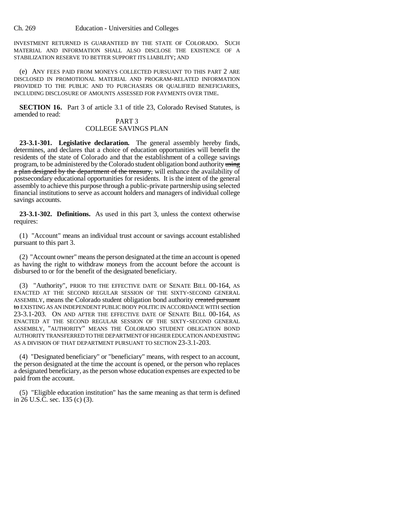INVESTMENT RETURNED IS GUARANTEED BY THE STATE OF COLORADO. SUCH MATERIAL AND INFORMATION SHALL ALSO DISCLOSE THE EXISTENCE OF A STABILIZATION RESERVE TO BETTER SUPPORT ITS LIABILITY; AND

(e) ANY FEES PAID FROM MONEYS COLLECTED PURSUANT TO THIS PART 2 ARE DISCLOSED IN PROMOTIONAL MATERIAL AND PROGRAM-RELATED INFORMATION PROVIDED TO THE PUBLIC AND TO PURCHASERS OR QUALIFIED BENEFICIARIES, INCLUDING DISCLOSURE OF AMOUNTS ASSESSED FOR PAYMENTS OVER TIME.

**SECTION 16.** Part 3 of article 3.1 of title 23, Colorado Revised Statutes, is amended to read:

### PART 3 COLLEGE SAVINGS PLAN

**23-3.1-301. Legislative declaration.** The general assembly hereby finds, determines, and declares that a choice of education opportunities will benefit the residents of the state of Colorado and that the establishment of a college savings program, to be administered by the Colorado student obligation bond authority using a plan designed by the department of the treasury, will enhance the availability of postsecondary educational opportunities for residents. It is the intent of the general assembly to achieve this purpose through a public-private partnership using selected financial institutions to serve as account holders and managers of individual college savings accounts.

**23-3.1-302. Definitions.** As used in this part 3, unless the context otherwise requires:

(1) "Account" means an individual trust account or savings account established pursuant to this part 3.

(2) "Account owner" means the person designated at the time an account is opened as having the right to withdraw moneys from the account before the account is disbursed to or for the benefit of the designated beneficiary.

(3) "Authority", PRIOR TO THE EFFECTIVE DATE OF SENATE BILL 00-164, AS ENACTED AT THE SECOND REGULAR SESSION OF THE SIXTY-SECOND GENERAL ASSEMBLY, means the Colorado student obligation bond authority created pursuant to EXISTING AS AN INDEPENDENT PUBLIC BODY POLITIC IN ACCORDANCE WITH section 23-3.1-203. ON AND AFTER THE EFFECTIVE DATE OF SENATE BILL 00-164, AS ENACTED AT THE SECOND REGULAR SESSION OF THE SIXTY-SECOND GENERAL ASSEMBLY, "AUTHORITY" MEANS THE COLORADO STUDENT OBLIGATION BOND AUTHORITY TRANSFERRED TO THE DEPARTMENT OF HIGHER EDUCATION AND EXISTING AS A DIVISION OF THAT DEPARTMENT PURSUANT TO SECTION 23-3.1-203.

(4) "Designated beneficiary" or "beneficiary" means, with respect to an account, the person designated at the time the account is opened, or the person who replaces a designated beneficiary, as the person whose education expenses are expected to be paid from the account.

(5) "Eligible education institution" has the same meaning as that term is defined in 26 U.S.C. sec. 135 (c) (3).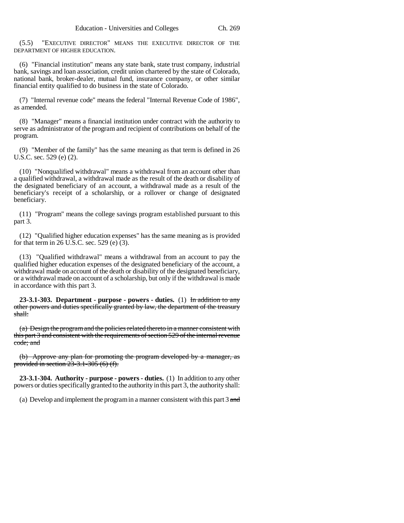(5.5) "EXECUTIVE DIRECTOR" MEANS THE EXECUTIVE DIRECTOR OF THE DEPARTMENT OF HIGHER EDUCATION.

(6) "Financial institution" means any state bank, state trust company, industrial bank, savings and loan association, credit union chartered by the state of Colorado, national bank, broker-dealer, mutual fund, insurance company, or other similar financial entity qualified to do business in the state of Colorado.

(7) "Internal revenue code" means the federal "Internal Revenue Code of 1986", as amended.

(8) "Manager" means a financial institution under contract with the authority to serve as administrator of the program and recipient of contributions on behalf of the program.

(9) "Member of the family" has the same meaning as that term is defined in 26 U.S.C. sec. 529 (e) (2).

(10) "Nonqualified withdrawal" means a withdrawal from an account other than a qualified withdrawal, a withdrawal made as the result of the death or disability of the designated beneficiary of an account, a withdrawal made as a result of the beneficiary's receipt of a scholarship, or a rollover or change of designated beneficiary.

(11) "Program" means the college savings program established pursuant to this part 3.

(12) "Qualified higher education expenses" has the same meaning as is provided for that term in 26 U.S.C. sec. 529 (e)  $(3)$ .

(13) "Qualified withdrawal" means a withdrawal from an account to pay the qualified higher education expenses of the designated beneficiary of the account, a withdrawal made on account of the death or disability of the designated beneficiary, or a withdrawal made on account of a scholarship, but only if the withdrawal is made in accordance with this part 3.

**23-3.1-303. Department - purpose - powers - duties.** (1) In addition to any other powers and duties specifically granted by law, the department of the treasury shall:

(a) Design the program and the policies related thereto in a manner consistent with this part 3 and consistent with the requirements of section 529 of the internal revenue code; and

(b) Approve any plan for promoting the program developed by a manager, as provided in section 23-3.1-305 (6) (f).

**23-3.1-304. Authority - purpose - powers - duties.** (1) In addition to any other powers or duties specifically granted to the authority in this part 3, the authority shall:

(a) Develop and implement the program in a manner consistent with this part  $3$  and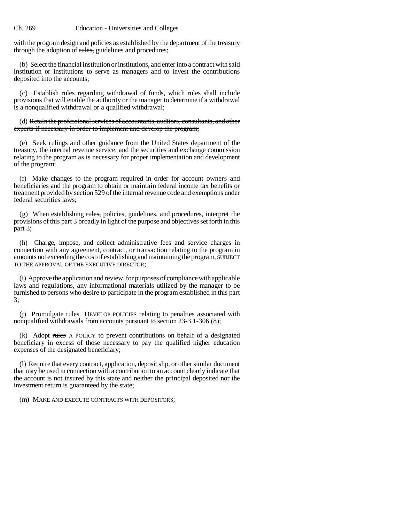with the program design and policies as established by the department of the treasury through the adoption of rules, guidelines and procedures;

(b) Select the financial institution or institutions, and enter into a contract with said institution or institutions to serve as managers and to invest the contributions deposited into the accounts;

(c) Establish rules regarding withdrawal of funds, which rules shall include provisions that will enable the authority or the manager to determine if a withdrawal is a nonqualified withdrawal or a qualified withdrawal;

(d) Retain the professional services of accountants, auditors, consultants, and other experts if necessary in order to implement and develop the program;

(e) Seek rulings and other guidance from the United States department of the treasury, the internal revenue service, and the securities and exchange commission relating to the program as is necessary for proper implementation and development of the program;

(f) Make changes to the program required in order for account owners and beneficiaries and the program to obtain or maintain federal income tax benefits or treatment provided by section 529 of the internal revenue code and exemptions under federal securities laws;

(g) When establishing rules, policies, guidelines, and procedures, interpret the provisions of this part 3 broadly in light of the purpose and objectives set forth in this part 3;

(h) Charge, impose, and collect administrative fees and service charges in connection with any agreement, contract, or transaction relating to the program in amounts not exceeding the cost of establishing and maintaining the program, SUBJECT TO THE APPROVAL OF THE EXECUTIVE DIRECTOR;

(i) Approve the application and review, for purposes of compliance with applicable laws and regulations, any informational materials utilized by the manager to be furnished to persons who desire to participate in the program established in this part 3;

(j) Promulgate rules DEVELOP POLICIES relating to penalties associated with nonqualified withdrawals from accounts pursuant to section 23-3.1-306 (8);

(k) Adopt rules A POLICY to prevent contributions on behalf of a designated beneficiary in excess of those necessary to pay the qualified higher education expenses of the designated beneficiary;

(l) Require that every contract, application, deposit slip, or other similar document that may be used in connection with a contribution to an account clearly indicate that the account is not insured by this state and neither the principal deposited nor the investment return is guaranteed by the state;

(m) MAKE AND EXECUTE CONTRACTS WITH DEPOSITORS;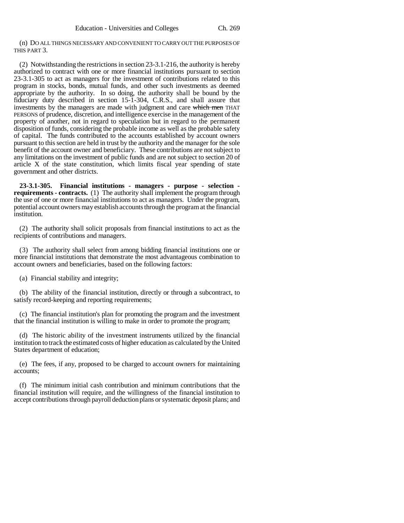(n) DO ALL THINGS NECESSARY AND CONVENIENT TO CARRY OUT THE PURPOSES OF THIS PART 3.

(2) Notwithstanding the restrictions in section 23-3.1-216, the authority is hereby authorized to contract with one or more financial institutions pursuant to section 23-3.1-305 to act as managers for the investment of contributions related to this program in stocks, bonds, mutual funds, and other such investments as deemed appropriate by the authority. In so doing, the authority shall be bound by the fiduciary duty described in section 15-1-304, C.R.S., and shall assure that investments by the managers are made with judgment and care which men THAT PERSONS of prudence, discretion, and intelligence exercise in the management of the property of another, not in regard to speculation but in regard to the permanent disposition of funds, considering the probable income as well as the probable safety of capital. The funds contributed to the accounts established by account owners pursuant to this section are held in trust by the authority and the manager for the sole benefit of the account owner and beneficiary. These contributions are not subject to any limitations on the investment of public funds and are not subject to section 20 of article X of the state constitution, which limits fiscal year spending of state government and other districts.

**23-3.1-305. Financial institutions - managers - purpose - selection requirements - contracts.** (1) The authority shall implement the program through the use of one or more financial institutions to act as managers. Under the program, potential account owners may establish accounts through the program at the financial institution.

(2) The authority shall solicit proposals from financial institutions to act as the recipients of contributions and managers.

(3) The authority shall select from among bidding financial institutions one or more financial institutions that demonstrate the most advantageous combination to account owners and beneficiaries, based on the following factors:

(a) Financial stability and integrity;

(b) The ability of the financial institution, directly or through a subcontract, to satisfy record-keeping and reporting requirements;

(c) The financial institution's plan for promoting the program and the investment that the financial institution is willing to make in order to promote the program;

(d) The historic ability of the investment instruments utilized by the financial institution to track the estimated costs of higher education as calculated by the United States department of education;

(e) The fees, if any, proposed to be charged to account owners for maintaining accounts;

(f) The minimum initial cash contribution and minimum contributions that the financial institution will require, and the willingness of the financial institution to accept contributions through payroll deduction plans or systematic deposit plans; and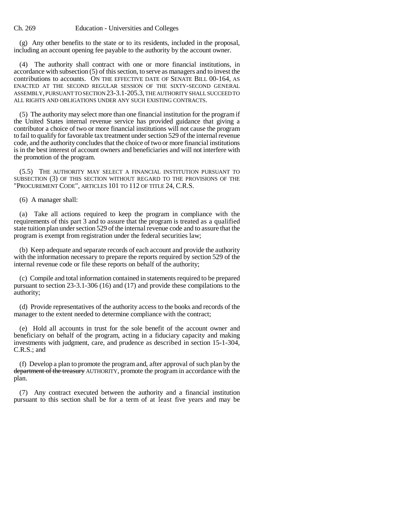(g) Any other benefits to the state or to its residents, included in the proposal, including an account opening fee payable to the authority by the account owner.

(4) The authority shall contract with one or more financial institutions, in accordance with subsection (5) of this section, to serve as managers and to invest the contributions to accounts. ON THE EFFECTIVE DATE OF SENATE BILL 00-164, AS ENACTED AT THE SECOND REGULAR SESSION OF THE SIXTY-SECOND GENERAL ASSEMBLY, PURSUANT TO SECTION 23-3.1-205.3, THE AUTHORITY SHALL SUCCEED TO ALL RIGHTS AND OBLIGATIONS UNDER ANY SUCH EXISTING CONTRACTS.

(5) The authority may select more than one financial institution for the program if the United States internal revenue service has provided guidance that giving a contributor a choice of two or more financial institutions will not cause the program to fail to qualify for favorable tax treatment under section 529 of the internal revenue code, and the authority concludes that the choice of two or more financial institutions is in the best interest of account owners and beneficiaries and will not interfere with the promotion of the program.

(5.5) THE AUTHORITY MAY SELECT A FINANCIAL INSTITUTION PURSUANT TO SUBSECTION (3) OF THIS SECTION WITHOUT REGARD TO THE PROVISIONS OF THE "PROCUREMENT CODE", ARTICLES 101 TO 112 OF TITLE 24, C.R.S.

(6) A manager shall:

(a) Take all actions required to keep the program in compliance with the requirements of this part 3 and to assure that the program is treated as a qualified state tuition plan under section 529 of the internal revenue code and to assure that the program is exempt from registration under the federal securities law;

(b) Keep adequate and separate records of each account and provide the authority with the information necessary to prepare the reports required by section 529 of the internal revenue code or file these reports on behalf of the authority;

(c) Compile and total information contained in statements required to be prepared pursuant to section 23-3.1-306 (16) and (17) and provide these compilations to the authority;

(d) Provide representatives of the authority access to the books and records of the manager to the extent needed to determine compliance with the contract;

(e) Hold all accounts in trust for the sole benefit of the account owner and beneficiary on behalf of the program, acting in a fiduciary capacity and making investments with judgment, care, and prudence as described in section 15-1-304, C.R.S.; and

(f) Develop a plan to promote the program and, after approval of such plan by the department of the treasury AUTHORITY, promote the program in accordance with the plan.

(7) Any contract executed between the authority and a financial institution pursuant to this section shall be for a term of at least five years and may be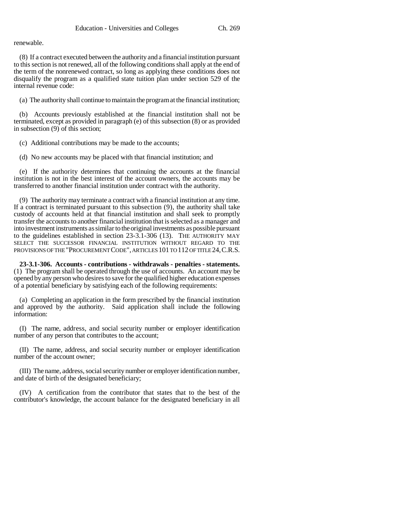renewable.

(8) If a contract executed between the authority and a financial institution pursuant to this section is not renewed, all of the following conditions shall apply at the end of the term of the nonrenewed contract, so long as applying these conditions does not disqualify the program as a qualified state tuition plan under section 529 of the internal revenue code:

(a) The authority shall continue to maintain the program at the financial institution;

(b) Accounts previously established at the financial institution shall not be terminated, except as provided in paragraph (e) of this subsection (8) or as provided in subsection (9) of this section;

(c) Additional contributions may be made to the accounts;

(d) No new accounts may be placed with that financial institution; and

(e) If the authority determines that continuing the accounts at the financial institution is not in the best interest of the account owners, the accounts may be transferred to another financial institution under contract with the authority.

(9) The authority may terminate a contract with a financial institution at any time. If a contract is terminated pursuant to this subsection (9), the authority shall take custody of accounts held at that financial institution and shall seek to promptly transfer the accounts to another financial institution that is selected as a manager and into investment instruments as similar to the original investments as possible pursuant to the guidelines established in section 23-3.1-306 (13). THE AUTHORITY MAY SELECT THE SUCCESSOR FINANCIAL INSTITUTION WITHOUT REGARD TO THE PROVISIONS OF THE "PROCUREMENT CODE", ARTICLES 101 TO 112 OF TITLE 24, C.R.S.

**23-3.1-306. Accounts - contributions - withdrawals - penalties - statements.** (1) The program shall be operated through the use of accounts. An account may be opened by any person who desires to save for the qualified higher education expenses of a potential beneficiary by satisfying each of the following requirements:

(a) Completing an application in the form prescribed by the financial institution and approved by the authority. Said application shall include the following information:

(I) The name, address, and social security number or employer identification number of any person that contributes to the account;

(II) The name, address, and social security number or employer identification number of the account owner;

(III) The name, address, social security number or employer identification number, and date of birth of the designated beneficiary;

(IV) A certification from the contributor that states that to the best of the contributor's knowledge, the account balance for the designated beneficiary in all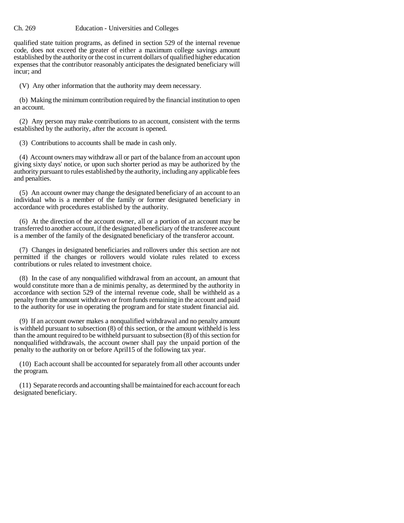#### Ch. 269 Education - Universities and Colleges

qualified state tuition programs, as defined in section 529 of the internal revenue code, does not exceed the greater of either a maximum college savings amount established by the authority or the cost in current dollars of qualified higher education expenses that the contributor reasonably anticipates the designated beneficiary will incur; and

(V) Any other information that the authority may deem necessary.

(b) Making the minimum contribution required by the financial institution to open an account.

(2) Any person may make contributions to an account, consistent with the terms established by the authority, after the account is opened.

(3) Contributions to accounts shall be made in cash only.

(4) Account owners may withdraw all or part of the balance from an account upon giving sixty days' notice, or upon such shorter period as may be authorized by the authority pursuant to rules established by the authority, including any applicable fees and penalties.

(5) An account owner may change the designated beneficiary of an account to an individual who is a member of the family or former designated beneficiary in accordance with procedures established by the authority.

(6) At the direction of the account owner, all or a portion of an account may be transferred to another account, if the designated beneficiary of the transferee account is a member of the family of the designated beneficiary of the transferor account.

(7) Changes in designated beneficiaries and rollovers under this section are not permitted if the changes or rollovers would violate rules related to excess contributions or rules related to investment choice.

(8) In the case of any nonqualified withdrawal from an account, an amount that would constitute more than a de minimis penalty, as determined by the authority in accordance with section 529 of the internal revenue code, shall be withheld as a penalty from the amount withdrawn or from funds remaining in the account and paid to the authority for use in operating the program and for state student financial aid.

(9) If an account owner makes a nonqualified withdrawal and no penalty amount is withheld pursuant to subsection (8) of this section, or the amount withheld is less than the amount required to be withheld pursuant to subsection (8) of this section for nonqualified withdrawals, the account owner shall pay the unpaid portion of the penalty to the authority on or before April15 of the following tax year.

(10) Each account shall be accounted for separately from all other accounts under the program.

(11) Separate records and accounting shall be maintained for each account for each designated beneficiary.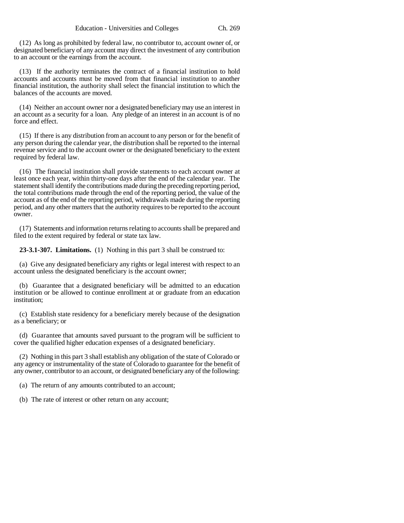(12) As long as prohibited by federal law, no contributor to, account owner of, or designated beneficiary of any account may direct the investment of any contribution to an account or the earnings from the account.

(13) If the authority terminates the contract of a financial institution to hold accounts and accounts must be moved from that financial institution to another financial institution, the authority shall select the financial institution to which the balances of the accounts are moved.

(14) Neither an account owner nor a designated beneficiary may use an interest in an account as a security for a loan. Any pledge of an interest in an account is of no force and effect.

(15) If there is any distribution from an account to any person or for the benefit of any person during the calendar year, the distribution shall be reported to the internal revenue service and to the account owner or the designated beneficiary to the extent required by federal law.

(16) The financial institution shall provide statements to each account owner at least once each year, within thirty-one days after the end of the calendar year. The statement shall identify the contributions made during the preceding reporting period, the total contributions made through the end of the reporting period, the value of the account as of the end of the reporting period, withdrawals made during the reporting period, and any other matters that the authority requires to be reported to the account owner.

(17) Statements and information returns relating to accounts shall be prepared and filed to the extent required by federal or state tax law.

**23-3.1-307. Limitations.** (1) Nothing in this part 3 shall be construed to:

(a) Give any designated beneficiary any rights or legal interest with respect to an account unless the designated beneficiary is the account owner;

(b) Guarantee that a designated beneficiary will be admitted to an education institution or be allowed to continue enrollment at or graduate from an education institution;

(c) Establish state residency for a beneficiary merely because of the designation as a beneficiary; or

(d) Guarantee that amounts saved pursuant to the program will be sufficient to cover the qualified higher education expenses of a designated beneficiary.

(2) Nothing in this part 3 shall establish any obligation of the state of Colorado or any agency or instrumentality of the state of Colorado to guarantee for the benefit of any owner, contributor to an account, or designated beneficiary any of the following:

(a) The return of any amounts contributed to an account;

(b) The rate of interest or other return on any account;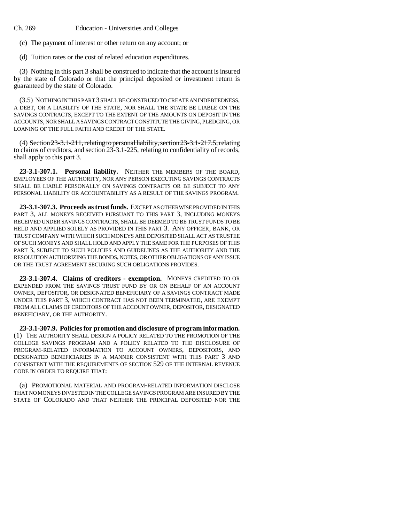(c) The payment of interest or other return on any account; or

(d) Tuition rates or the cost of related education expenditures.

(3) Nothing in this part 3 shall be construed to indicate that the account is insured by the state of Colorado or that the principal deposited or investment return is guaranteed by the state of Colorado.

(3.5) NOTHING IN THIS PART 3 SHALL BE CONSTRUED TO CREATE AN INDEBTEDNESS, A DEBT, OR A LIABILITY OF THE STATE, NOR SHALL THE STATE BE LIABLE ON THE SAVINGS CONTRACTS, EXCEPT TO THE EXTENT OF THE AMOUNTS ON DEPOSIT IN THE ACCOUNTS, NOR SHALL A SAVINGS CONTRACT CONSTITUTE THE GIVING, PLEDGING, OR LOANING OF THE FULL FAITH AND CREDIT OF THE STATE.

 $(4)$  Section  $23-3.1-211$ , relating to personal liability, section  $23-3.1-217.5$ , relating to claims of creditors, and section 23-3.1-225, relating to confidentiality of records, shall apply to this part 3.

**23-3.1-307.1. Personal liability.** NEITHER THE MEMBERS OF THE BOARD, EMPLOYEES OF THE AUTHORITY, NOR ANY PERSON EXECUTING SAVINGS CONTRACTS SHALL BE LIABLE PERSONALLY ON SAVINGS CONTRACTS OR BE SUBJECT TO ANY PERSONAL LIABILITY OR ACCOUNTABILITY AS A RESULT OF THE SAVINGS PROGRAM.

**23-3.1-307.3. Proceeds as trust funds.** EXCEPT AS OTHERWISE PROVIDED IN THIS PART 3, ALL MONEYS RECEIVED PURSUANT TO THIS PART 3, INCLUDING MONEYS RECEIVED UNDER SAVINGS CONTRACTS, SHALL BE DEEMED TO BE TRUST FUNDS TO BE HELD AND APPLIED SOLELY AS PROVIDED IN THIS PART 3. ANY OFFICER, BANK, OR TRUST COMPANY WITH WHICH SUCH MONEYS ARE DEPOSITED SHALL ACT AS TRUSTEE OF SUCH MONEYS AND SHALL HOLD AND APPLY THE SAME FOR THE PURPOSES OF THIS PART 3, SUBJECT TO SUCH POLICIES AND GUIDELINES AS THE AUTHORITY AND THE RESOLUTION AUTHORIZING THE BONDS, NOTES, OR OTHER OBLIGATIONS OF ANY ISSUE OR THE TRUST AGREEMENT SECURING SUCH OBLIGATIONS PROVIDES.

**23-3.1-307.4. Claims of creditors - exemption.** MONEYS CREDITED TO OR EXPENDED FROM THE SAVINGS TRUST FUND BY OR ON BEHALF OF AN ACCOUNT OWNER, DEPOSITOR, OR DESIGNATED BENEFICIARY OF A SAVINGS CONTRACT MADE UNDER THIS PART 3, WHICH CONTRACT HAS NOT BEEN TERMINATED, ARE EXEMPT FROM ALL CLAIMS OF CREDITORS OF THE ACCOUNT OWNER, DEPOSITOR, DESIGNATED BENEFICIARY, OR THE AUTHORITY.

**23-3.1-307.9. Policies for promotion and disclosure of program information.** (1) THE AUTHORITY SHALL DESIGN A POLICY RELATED TO THE PROMOTION OF THE COLLEGE SAVINGS PROGRAM AND A POLICY RELATED TO THE DISCLOSURE OF PROGRAM-RELATED INFORMATION TO ACCOUNT OWNERS, DEPOSITORS, AND DESIGNATED BENEFICIARIES IN A MANNER CONSISTENT WITH THIS PART 3 AND CONSISTENT WITH THE REQUIREMENTS OF SECTION 529 OF THE INTERNAL REVENUE CODE IN ORDER TO REQUIRE THAT:

(a) PROMOTIONAL MATERIAL AND PROGRAM-RELATED INFORMATION DISCLOSE THAT NO MONEYS INVESTED IN THE COLLEGE SAVINGS PROGRAM ARE INSURED BY THE STATE OF COLORADO AND THAT NEITHER THE PRINCIPAL DEPOSITED NOR THE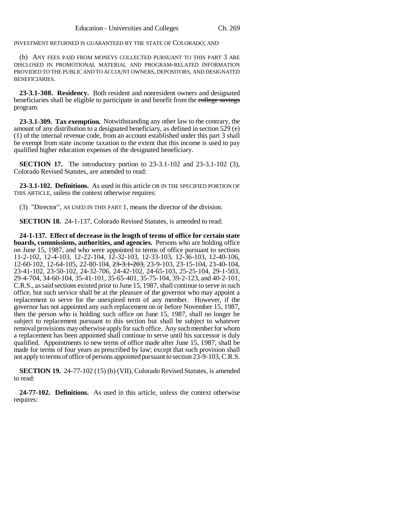INVESTMENT RETURNED IS GUARANTEED BY THE STATE OF COLORADO; AND

(b) ANY FEES PAID FROM MONEYS COLLECTED PURSUANT TO THIS PART 3 ARE DISCLOSED IN PROMOTIONAL MATERIAL AND PROGRAM-RELATED INFORMATION PROVIDED TO THE PUBLIC AND TO ACCOUNT OWNERS, DEPOSITORS, AND DESIGNATED BENEFICIARIES.

**23-3.1-308. Residency.** Both resident and nonresident owners and designated beneficiaries shall be eligible to participate in and benefit from the college savings program.

**23-3.1-309. Tax exemption.** Notwithstanding any other law to the contrary, the amount of any distribution to a designated beneficiary, as defined in section 529 (e) (1) of the internal revenue code, from an account established under this part 3 shall be exempt from state income taxation to the extent that this income is used to pay qualified higher education expenses of the designated beneficiary.

**SECTION 17.** The introductory portion to 23-3.1-102 and 23-3.1-102 (3), Colorado Revised Statutes, are amended to read:

**23-3.1-102. Definitions.** As used in this article OR IN THE SPECIFIED PORTION OF THIS ARTICLE, unless the context otherwise requires:

(3) "Director", AS USED IN THIS PART 1, means the director of the division.

**SECTION 18.** 24-1-137, Colorado Revised Statutes, is amended to read:

**24-1-137. Effect of decrease in the length of terms of office for certain state boards, commissions, authorities, and agencies.** Persons who are holding office on June 15, 1987, and who were appointed to terms of office pursuant to sections 11-2-102, 12-4-103, 12-22-104, 12-32-103, 12-33-103, 12-36-103, 12-40-106, 12-60-102, 12-64-105, 22-80-104, 23-3.1-203, 23-9-103, 23-15-104, 23-40-104, 23-41-102, 23-50-102, 24-32-706, 24-42-102, 24-65-103, 25-25-104, 29-1-503, 29-4-704, 34-60-104, 35-41-101, 35-65-401, 35-75-104, 39-2-123, and 40-2-101, C.R.S., as said sections existed prior to June 15, 1987, shall continue to serve in such office, but such service shall be at the pleasure of the governor who may appoint a replacement to serve for the unexpired term of any member. However, if the governor has not appointed any such replacement on or before November 15, 1987, then the person who is holding such office on June 15, 1987, shall no longer be subject to replacement pursuant to this section but shall be subject to whatever removal provisions may otherwise apply for such office. Any such member for whom a replacement has been appointed shall continue to serve until his successor is duly qualified. Appointments to new terms of office made after June 15, 1987, shall be made for terms of four years as prescribed by law; except that such provision shall not apply to terms of office of persons appointed pursuant to section 23-9-103, C.R.S.

**SECTION 19.** 24-77-102 (15) (b) (VII), Colorado Revised Statutes, is amended to read:

**24-77-102. Definitions.** As used in this article, unless the context otherwise requires: